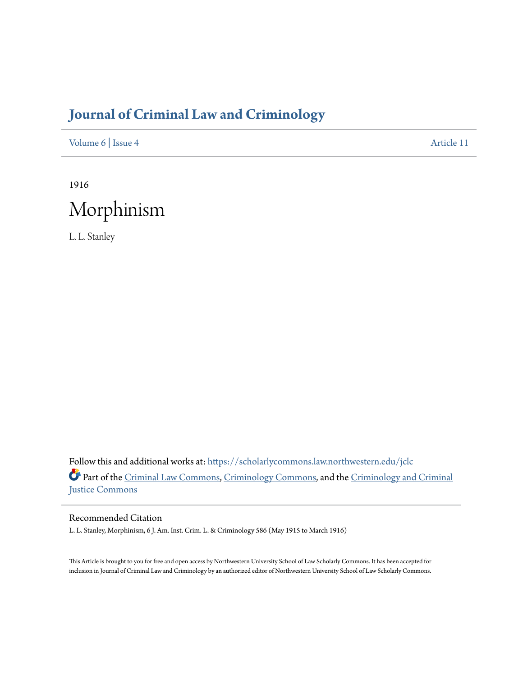## **[Journal of Criminal Law and Criminology](https://scholarlycommons.law.northwestern.edu/jclc?utm_source=scholarlycommons.law.northwestern.edu%2Fjclc%2Fvol6%2Fiss4%2F11&utm_medium=PDF&utm_campaign=PDFCoverPages)**

[Volume 6](https://scholarlycommons.law.northwestern.edu/jclc/vol6?utm_source=scholarlycommons.law.northwestern.edu%2Fjclc%2Fvol6%2Fiss4%2F11&utm_medium=PDF&utm_campaign=PDFCoverPages) | [Issue 4](https://scholarlycommons.law.northwestern.edu/jclc/vol6/iss4?utm_source=scholarlycommons.law.northwestern.edu%2Fjclc%2Fvol6%2Fiss4%2F11&utm_medium=PDF&utm_campaign=PDFCoverPages) [Article 11](https://scholarlycommons.law.northwestern.edu/jclc/vol6/iss4/11?utm_source=scholarlycommons.law.northwestern.edu%2Fjclc%2Fvol6%2Fiss4%2F11&utm_medium=PDF&utm_campaign=PDFCoverPages)

1916 Morphinism

L. L. Stanley

Follow this and additional works at: [https://scholarlycommons.law.northwestern.edu/jclc](https://scholarlycommons.law.northwestern.edu/jclc?utm_source=scholarlycommons.law.northwestern.edu%2Fjclc%2Fvol6%2Fiss4%2F11&utm_medium=PDF&utm_campaign=PDFCoverPages) Part of the [Criminal Law Commons](http://network.bepress.com/hgg/discipline/912?utm_source=scholarlycommons.law.northwestern.edu%2Fjclc%2Fvol6%2Fiss4%2F11&utm_medium=PDF&utm_campaign=PDFCoverPages), [Criminology Commons](http://network.bepress.com/hgg/discipline/417?utm_source=scholarlycommons.law.northwestern.edu%2Fjclc%2Fvol6%2Fiss4%2F11&utm_medium=PDF&utm_campaign=PDFCoverPages), and the [Criminology and Criminal](http://network.bepress.com/hgg/discipline/367?utm_source=scholarlycommons.law.northwestern.edu%2Fjclc%2Fvol6%2Fiss4%2F11&utm_medium=PDF&utm_campaign=PDFCoverPages) [Justice Commons](http://network.bepress.com/hgg/discipline/367?utm_source=scholarlycommons.law.northwestern.edu%2Fjclc%2Fvol6%2Fiss4%2F11&utm_medium=PDF&utm_campaign=PDFCoverPages)

Recommended Citation

L. L. Stanley, Morphinism, 6 J. Am. Inst. Crim. L. & Criminology 586 (May 1915 to March 1916)

This Article is brought to you for free and open access by Northwestern University School of Law Scholarly Commons. It has been accepted for inclusion in Journal of Criminal Law and Criminology by an authorized editor of Northwestern University School of Law Scholarly Commons.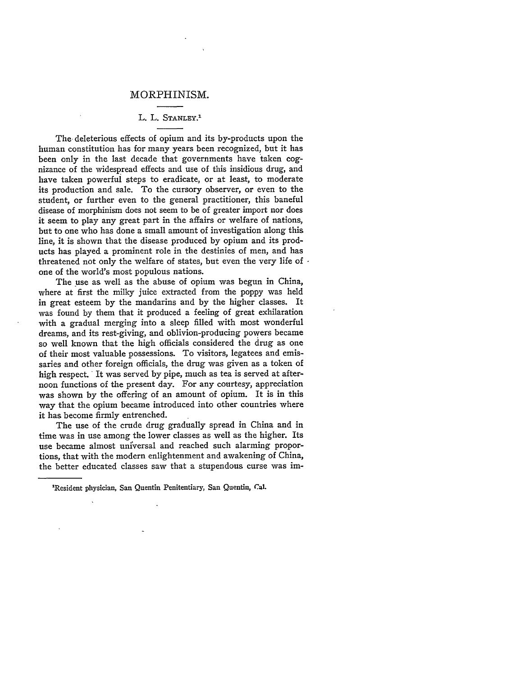## MORPHINISM.

## L. L. **STANLEY.'**

The deleterious effects of opium and its by-products upon the human constitution has for many years been recognized, but it has been only in the last decade that governments have taken cognizance of the widespread effects and use of this insidious drug, and have taken powerful steps to eradicate, or at least, to moderate its production and sale. To the cursory observer, or even to the student, or further even to the general practitioner, this baneful disease of morphinism does not seem to be of greater import nor does it seem to play any great part in the affairs or welfare of nations, but to one who has done a small amount of investigation along this line, it is shown that the disease produced by opium and its products has played a prominent role in the destinies of men, and has threatened not only the welfare of states, but even the very life of  $\cdot$ one of the world's most populous nations.

The use as well as the abuse of opium was begun in China, where at first the milky juice extracted from the poppy was held in great esteem by the mandarins and by the higher classes. It was found by them that it produced a feeling of great exhilaration with a gradual merging into a sleep filled with most wonderful dreams, and its rest-giving, and oblivion-producing powers became so well known that the high officials considered the drug as one of their most valuable possessions. To visitors, legatees and emissaries and other foreign officials, the drug was given as a token of high respect. It was served by pipe, much as tea is served at afternoon functions of the present day. For any courtesy, appreciation was shown by the offering of an amount of opium. It is in this way that the opium became introduced into other countries where it has become firmly entrenched.

The use of the crude drug gradually spread in China and in time was in use among the lower classes as well as the higher. Its use became almost universal and reached such alarming proportions, that with the modern enlightenment and awakening of China, the better educated classes saw that a stupendous curse was im-

<sup>&#</sup>x27;Resident physician, San Quentin Penitentiary, San Quentin, Cal.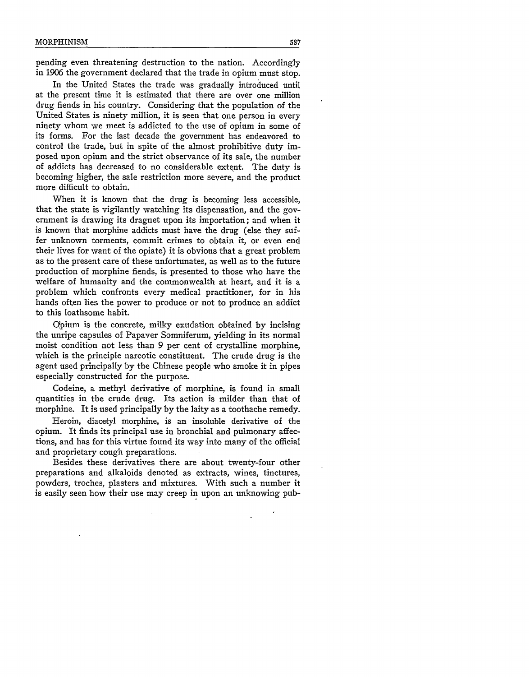pending even threatening destruction to the nation. Accordingly in 1906 the government declared that the trade in opium must stop.

In the United States the trade was gradually introduced until at the present time it is estimated that there are over one million drug fiends in his country. Considering that the population of the United States is ninety million, it is seen that one person in every ninety whom we meet is addicted to the use of opium in some of its forms. For the last decade the government has endeavored to control the trade, but in spite of the almost prohibitive duty imposed upon opium and the strict observance of its sale, the number of addicts has decreased to no considerable extent. The duty is becoming higher, the sale restriction more severe, and the product more difficult to obtain.

When it is known that the drug is becoming less accessible, that the state is vigilantly watching its dispensation, and the government is drawing its dragnet upon its importation; and when it is known that morphine addicts must have the drug (else they suffer unknown torments, commit crimes to obtain it, or even end their lives for want of the opiate) it is obvious that a great problem as to the present care of these unfortunates, as well as to the future production of morphine fiends, is presented to those who have the welfare of humanity and the commonwealth at heart, and it is a problem which confronts every medical practitioner, for in his hands often lies the power to produce or not to produce an addict to this loathsome habit.

Opium is the concrete, milky exudation obtained by incising the unripe capsules of Papaver Somniferum, yielding in its normal moist condition not less than 9 per cent of crystalline morphine, which is the principle narcotic constituent. The crude drug is the agent used principally by the Chinese people who smoke it in pipes especially constructed for the purpose.

Codeine, a methyl derivative of morphine, is found in small quantities in the crude drug. Its action is milder than that of morphine. It is used principally by the laity as a toothache remedy.

Heroin, diacetyl morphine, is an insoluble derivative of the opium. It finds its principal use in bronchial and pulmonary affections, and has for this virtue found its way into many of the official and proprietary cough preparations.

Besides these derivatives there are about twenty-four other preparations and alkaloids denoted as extracts, wines, tinctures, powders, troches, plasters and mixtures. With such a number it is easily seen how their use may creep in upon an unknowing pub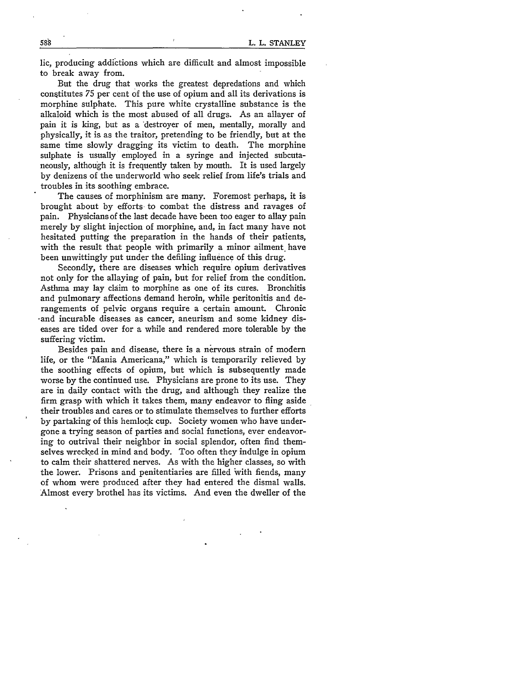lic, producing addictions which are difficult and almost impossible to break away from.

But the drug that works the greatest depredations and which constitutes 75 per cent of the use of opium and all its derivations is morphine sulphate. This pure white crystalline substance is the alkaloid which is the most abused of all drugs. As an allayer of pain it is king, but as a 'destroyer of men, mentally, morally and physically, it is as the traitor, pretending to be friendly, but at the same time slowly dragging its victim to death. The morphine sulphate is usually employed in a syringe and injected subcutaneously, although it is frequently taken by mouth. It is used largely by denizens of the underworld who seek relief from life's trials and troubles in its soothing embrace.

The causes of morphinism are many. Foremost perhaps, it is brought about by efforts to combat the distress and ravages of pain. Physicians of the last decade have been too eager to allay pain merely by slight injection of morphine, and, in fact many have not hesitated putting the preparation in the hands of their patients, with the result that people with primarily a minor ailment have been unwittingly put under the defiling influence of this drug.

Secondly, there are diseases which require opium derivatives not only for the allaying of pain, but for relief from the condition. Asthma may lay claim to morphine as one of its cures. Bronchitis and pulmonary affections demand heroin, while peritonitis and derangements of pelvic organs require a certain amount. Chronic -and incurable diseases as cancer, aneurism and some kidney diseases are tided over for a while and rendered more tolerable by the suffering victim.

Besides pain and disease, there is a nervous strain of modern life, or the "Mania Americana," which is temporarily relieved by the soothing effects of opium, but which is subsequently made worse by the continued use. Physicians are prone to its use. They are in daily contact with the drug, and although they realize the firm grasp with which it takes them, many endeavor to fling aside their troubles and cares or to stimulate themselves to further efforts by partaking of this hemlock cup. Society women who have undergone a trying season of parties and social functions, ever endeavoring to outrival their neighbor in social splendor, often find themselves wrecked in mind and body. Too often they indulge in opium to calm their shattered nerves. As with the higher classes, so with the lower. Prisons and penitentiaries are filled with fiends, many of whom were produced after they had entered the dismal walls. Almost every brothel has its victims. And even the dweller of the

588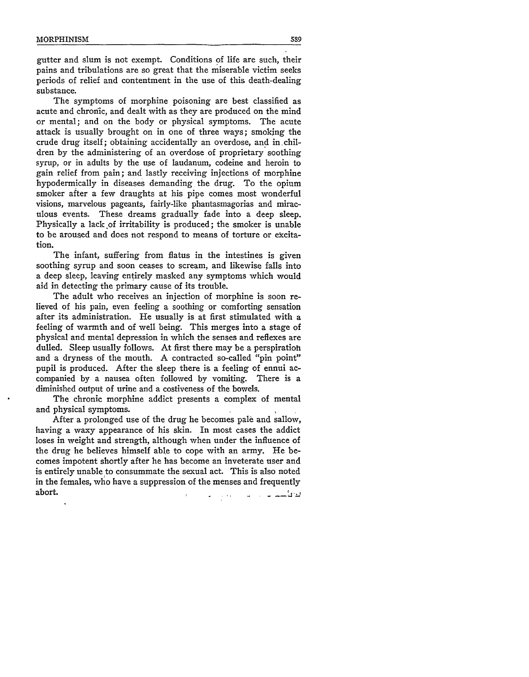gutter and slum is not exempt. Conditions of life are such, their pains and tribulations are so great that the miserable victim seeks periods of relief and contentment in the use of this death-dealing substance.

The symptoms of morphine poisoning are best classified as acute and chronic, and dealt with as they are produced on the mind or mental; and on the body or physical symptoms. The acute attack is usually brought on in one of three ways; smoking the crude drug itself; obtaining accidentally an overdose, and in children **by** the administering of an overdose of proprietary soothing syrup, or in adults **by** the use of laudanum, codeine and heroin to gain relief from pain; and lastly receiving injections of morphine hypodermically in diseases demanding the drug. To the opium smoker after a few draughts at his pipe comes most wonderful visions, marvelous pageants, fairly-like phantasmagorias and miraculous events. These dreams gradually fade into a deep sleep. Physically a lack of irritability is produced; the smoker is unable to be aroused and does not respond to means of torture or ekcitation.

The infant, suffering from flatus in the intestines is given soothing syrup and soon ceases to scream, and likewise falls into a deep sleep, leaving entirely masked any symptoms which would aid in detecting the primary cause of its trouble.

The adult who receives an injection of morphine is soon relieved of his pain, even feeling a soothing or comforting sensation after its administration. He usually is at first stimulated with a feeling of warmth and of well being. This merges into a stage of physical and mental depression in which the senses and reflexes are dulled. Sleep usually follows. At first there may be a perspiratioh and a dryness of the mouth. A contracted so-called "pin point" pupil is produced. After the sleep there is a feeling of ennui accompanied **by** a nausea often followed **by** vomiting. There is a diminished output of urine and a costiveness of the bowels.

The chronic morphine addict presents a complex of mental and physical symptoms.

After a prolonged use of the drug he becomes pale and sallow, having a waxy appearance of his skin. In most cases the addict loses in weight and strength, although when under the influence of the drug he believes himself able to cope with an army. He becomes impotent shortly after he has become an inveterate user and is entirely unable to consummate the sexual act. This is also noted in the females, who have a suppression of the menses and frequently abort. **I I -\_.,**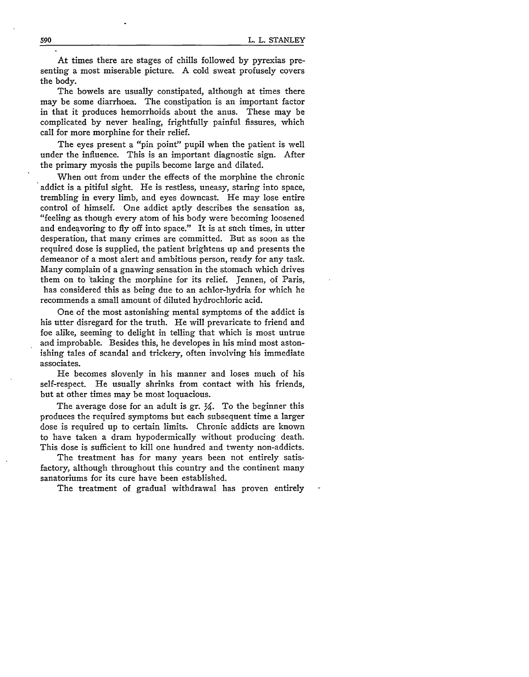At times there are stages of chills followed by pyrexias presenting a most miserable picture. A cold sweat profusely covers the body.

The bowels are usually constipated, although at times there may be some diarrhoea. The constipation is an important factor in that it produces hemorrhoids about the anus. These may be complicated by never healing, frightfully painful fissures, which call for more morphine for their relief.

The eyes present a "pin point" pupil when the patient is well under the influence. This is an important diagnostic sign. After the primary myosis the pupils become large and dilated.

When out from under the effects of the morphine the chronic addict is a pitiful sight. He is restless, uneasy, staring into space, trembling in every limb, and eyes downcast. He may lose entire control of himself. One addict aptly describes the sensation as, "feeling as though every atom of his body were becoming loosened and endeavoring to fly off into space." It is at such times, in utter desperation, that many crimes are committed. But as soon as the required dose is supplied, the patient brightens up and presents the demeanor of a most alert and ambitious person, ready for any task. Many complain of a gnawing sensation in the stomach which drives them on to taking the morphine for its relief. Jennen, of Paris, has considered this as being due to an achlor-hydria for which he recommends a small amount of diluted hydrochloric acid.

One of the most astonishing mental symptoms of the addict is his utter disregard for the truth. He will prevaricate to friend and foe alike, seeming to delight in telling that which is most untrue and improbable. Besides this, he developes in his mind most astonishing tales of scandal and trickery, often involving his immediate associates.

He becomes slovenly in his manner and loses much of his self-respect. He usually shrinks from contact with his friends, but at other times may be most loquacious.

The average dose for an adult is gr.  $\frac{1}{4}$ . To the beginner this produces the required symptoms but each subsequent time a larger dose is required up to certain limits. Chronic addicts are known to have taken a dram hypodermically without producing death. This dose is sufficient to kill one hundred and twenty non-addicts.

The treatment has for many years been not entirely satisfactory, although throughout this country and the continent many sanatoriums for its cure have been established.

The treatment of gradual withdrawal has proven entirely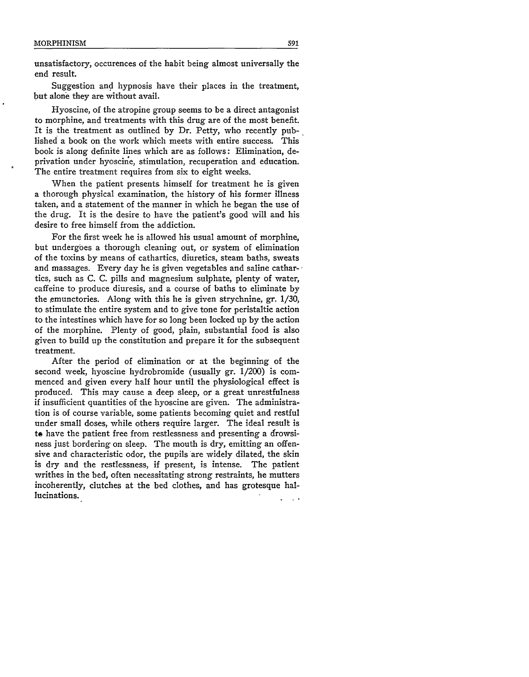unsatisfactory, occurences of the habit being almost universally the end result.

Suggestion and hypnosis have their places in the treatment, but alone they are without avail.

Hyoscine, of the atropine group seems to be a direct antagonist to morphine, and treatments with this drug are of the most benefit. It is the treatment as outlined **by** Dr. Petty, who recently published a book on the work which meets with entire success. This book is along definite lines which are as follows: Elimination, deprivation under hyoscine, stimulation, recuperation and education. The entire treatment requires from six to eight weeks.

When the patient presents himself for treatment he is given a thorough physical examination, the history of his former illness taken, and a statement of the manner in which he began the use of the drug. It is the desire to have the patient's good will and his desire to free himself from the addiction.

For the first week he is allowed his usual amount of morphine, but undergoes a thorough cleaning out, or system of elimination of the toxins **by** means of cathartics, diuretics, steam baths, sweats and massages. Every day he is given vegetables and saline cathartics, such as **C. C.** pills and magnesium sulphate, plenty of water, caffeine to produce diuresis, and a course of baths to eliminate **by** the emunctories. Along with this he is given strychnine, gr. 1/30, to stimulate the entire system and to give tone for peristaltic action to the intestines which have for so long been locked up by the action of the morphine. Plenty of good, plain, substantial food is also given to build up the constitution and prepare it for the subsequent treatment.

After the period of elimination or at the beginning of the second week, hyoscine hydrobromide (usually gr. 1/200) is commenced and given every half hour until the physiological effect is produced. This may cause a deep sleep, or a great unrestfulness if insufficient quantities of the hyoscine are given. The administration is of course variable, some patients becoming quiet and restful under small doses, while others require larger. The ideal result is to have the patient free from restlessness and presenting a drowsiness just bordering on sleep. The mouth is dry, emitting an offensive and characteristic odor, the pupils 'are widely dilated, the skin is dry and the restlessness, if present, is intense. The patient writhes in the bed, often necessitating strong restraints, he mutters incoherently, clutches at the bed clothes, and has grotesque hallucinations.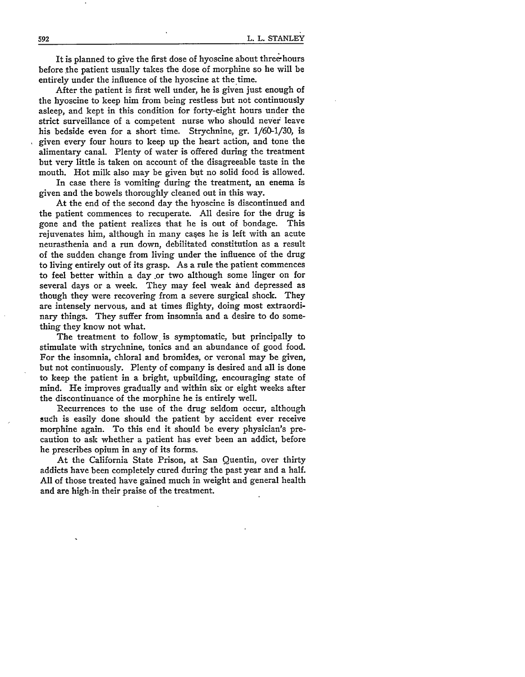It is planned to give the first dose of hyoscine about three-hours before the patient usually takes the dose of morphine so he will be entirely under the influence of the hyoscine at the time.

After the patient is first well under, he is given just enough of the hyoscine to keep him from being restless but not continuously asleep, and kept in this condition for forty-eight hours under the strict surveillance of a competent nurse who should never leave his bedside even for a short time. Strychnine, **gr.** 1/60-1/30, is given every four hours to keep up the heart action, and tone the alimentary canal. Plenty of water is offered during the treatment but very little is taken on account of the disagreeable taste in the mouth. Hot milk also may be given but no solid food is allowed.

In case there is vomiting during the treatment, an enema is given and the bowels thoroughly cleaned out in this way.

At the end of the second day the hyoscine is discontinued and the patient commences to recuperate. All desire for the drug is gone and the patient realizes that he is out of bondage. This rejuvenates him, although in many cases he is left with an acute neurasthenia and a run down, debilitated constitution as a result of the sudden change from living under the influence of the drug to living entirely out of its grasp. As a rule the patient commences to feel better within a day .or two although some linger on for several days or a week. They may feel weak and depressed as though they were recovering from a severe surgical shock. They are intensely nervous, and at times flighty, doing most extraordinary things. They suffer from insomnia and a desire to do something they know not what.

The treatment to follow is symptomatic, but principally to stimulate with strychnine, tonics and an abundance of good food. For the insomnia, chloral and bromides, or veronal may be given, but not continuously. Plenty of company is desired and all is done to keep the patient in a bright, upbuilding, encouraging state of mind. He improves gradually and within six or eight weeks after the discontinuance of the morphine he is entirely well.

Recurrences to the use of the drug seldom occur, although such is easily done should the patient **by** accident ever receive morphine again. To this end it should be every physician's precaution to ask whether a patient has ever been an addict, before he prescribes opium in any of its forms.

At the California State Prison, at San Quentin, over thirty addicts have been completely cured during the past year and a half. **All** of those treated have gained much in weight and general health and are high.in their praise of the treatment.